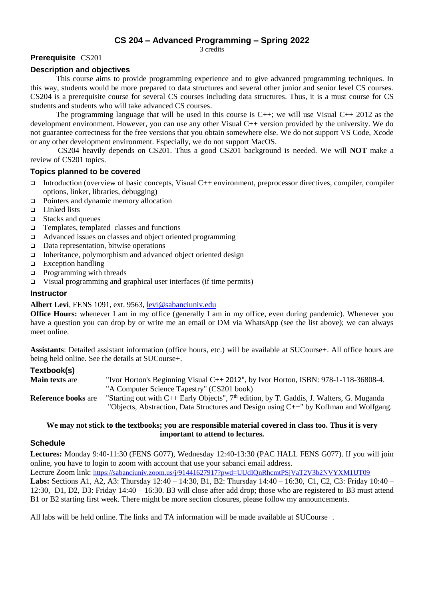# **CS 204 – Advanced Programming – Spring 2022**

3 credits

### **Prerequisite** CS201

### **Description and objectives**

This course aims to provide programming experience and to give advanced programming techniques. In this way, students would be more prepared to data structures and several other junior and senior level CS courses. CS204 is a prerequisite course for several CS courses including data structures. Thus, it is a must course for CS students and students who will take advanced CS courses.

The programming language that will be used in this course is C++; we will use Visual C++ 2012 as the development environment. However, you can use any other Visual C++ version provided by the university. We do not guarantee correctness for the free versions that you obtain somewhere else. We do not support VS Code, Xcode or any other development environment. Especially, we do not support MacOS.

CS204 heavily depends on CS201. Thus a good CS201 background is needed. We will **NOT** make a review of CS201 topics.

### **Topics planned to be covered**

- Introduction (overview of basic concepts, Visual C++ environment, preprocessor directives, compiler, compiler options, linker, libraries, debugging)
- □ Pointers and dynamic memory allocation
- $\Box$  Linked lists
- $\Box$  Stacks and queues
- $\Box$  Templates, templated classes and functions
- Advanced issues on classes and object oriented programming
- $\Box$  Data representation, bitwise operations
- $\Box$  Inheritance, polymorphism and advanced object oriented design
- $\Box$  Exception handling
- $\Box$  Programming with threads
- $\Box$  Visual programming and graphical user interfaces (if time permits)

### **Instructor**

#### **Albert Levi**, FENS 1091, ext. 9563[, levi@sabanciuniv.edu](mailto:levi@sabanciuniv.edu)

**Office Hours:** whenever I am in my office (generally I am in my office, even during pandemic). Whenever you have a question you can drop by or write me an email or DM via WhatsApp (see the list above); we can always meet online.

**Assistants**: Detailed assistant information (office hours, etc.) will be available at SUCourse+. All office hours are being held online. See the details at SUCourse+.

#### **Textbook(s)**

| <b>Main texts are</b>      | "Ivor Horton's Beginning Visual C++ 2012", by Ivor Horton, ISBN: 978-1-118-36808-4.        |
|----------------------------|--------------------------------------------------------------------------------------------|
|                            | "A Computer Science Tapestry" (CS201 book)                                                 |
| <b>Reference books are</b> | "Starting out with C++ Early Objects", $7th$ edition, by T. Gaddis, J. Walters, G. Muganda |
|                            | "Objects, Abstraction, Data Structures and Design using C++" by Koffman and Wolfgang.      |

#### **We may not stick to the textbooks; you are responsible material covered in class too. Thus it is very important to attend to lectures.**

#### **Schedule**

Lectures: Monday 9:40-11:30 (FENS G077), Wednesday 12:40-13:30 (PAC HALL FENS G077). If you will join online, you have to login to zoom with account that use your sabanci email address. Lecture Zoom link: <https://sabanciuniv.zoom.us/j/91441627917?pwd=UUdIQnRhcmtPSjVaT2V3b2NVYXM1UT09> **Labs:** Sections A1, A2, A3: Thursday 12:40 – 14:30, B1, B2: Thursday 14:40 – 16:30, C1, C2, C3: Friday 10:40 – 12:30, D1, D2, D3: Friday 14:40 – 16:30. B3 will close after add drop; those who are registered to B3 must attend B1 or B2 starting first week. There might be more section closures, please follow my announcements.

All labs will be held online. The links and TA information will be made available at SUCourse+.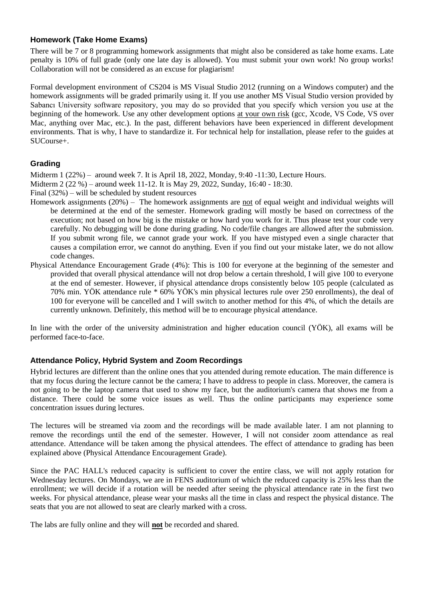# **Homework (Take Home Exams)**

There will be 7 or 8 programming homework assignments that might also be considered as take home exams. Late penalty is 10% of full grade (only one late day is allowed). You must submit your own work! No group works! Collaboration will not be considered as an excuse for plagiarism!

Formal development environment of CS204 is MS Visual Studio 2012 (running on a Windows computer) and the homework assignments will be graded primarily using it. If you use another MS Visual Studio version provided by Sabancı University software repository, you may do so provided that you specify which version you use at the beginning of the homework. Use any other development options at your own risk (gcc, Xcode, VS Code, VS over Mac, anything over Mac, etc.). In the past, different behaviors have been experienced in different development environments. That is why, I have to standardize it. For technical help for installation, please refer to the guides at SUCourse+.

# **Grading**

Midterm 1 (22%) – around week 7. It is April 18, 2022, Monday, 9:40 -11:30, Lecture Hours.

Midterm 2 (22 %) – around week 11-12. It is May 29, 2022, Sunday, 16:40 - 18:30.

Final (32%) – will be scheduled by student resources

- Homework assignments (20%) The homework assignments are not of equal weight and individual weights will be determined at the end of the semester. Homework grading will mostly be based on correctness of the execution; not based on how big is the mistake or how hard you work for it. Thus please test your code very carefully. No debugging will be done during grading. No code/file changes are allowed after the submission. If you submit wrong file, we cannot grade your work. If you have mistyped even a single character that causes a compilation error, we cannot do anything. Even if you find out your mistake later, we do not allow code changes.
- Physical Attendance Encouragement Grade (4%): This is 100 for everyone at the beginning of the semester and provided that overall physical attendance will not drop below a certain threshold, I will give 100 to everyone at the end of semester. However, if physical attendance drops consistently below 105 people (calculated as 70% min. YÖK attendance rule \* 60% YÖK's min physical lectures rule over 250 enrollments), the deal of 100 for everyone will be cancelled and I will switch to another method for this 4%, of which the details are currently unknown. Definitely, this method will be to encourage physical attendance.

In line with the order of the university administration and higher education council (YÖK), all exams will be performed face-to-face.

# **Attendance Policy, Hybrid System and Zoom Recordings**

Hybrid lectures are different than the online ones that you attended during remote education. The main difference is that my focus during the lecture cannot be the camera; I have to address to people in class. Moreover, the camera is not going to be the laptop camera that used to show my face, but the auditorium's camera that shows me from a distance. There could be some voice issues as well. Thus the online participants may experience some concentration issues during lectures.

The lectures will be streamed via zoom and the recordings will be made available later. I am not planning to remove the recordings until the end of the semester. However, I will not consider zoom attendance as real attendance. Attendance will be taken among the physical attendees. The effect of attendance to grading has been explained above (Physical Attendance Encouragement Grade).

Since the PAC HALL's reduced capacity is sufficient to cover the entire class, we will not apply rotation for Wednesday lectures. On Mondays, we are in FENS auditorium of which the reduced capacity is 25% less than the enrollment; we will decide if a rotation will be needed after seeing the physical attendance rate in the first two weeks. For physical attendance, please wear your masks all the time in class and respect the physical distance. The seats that you are not allowed to seat are clearly marked with a cross.

The labs are fully online and they will **not** be recorded and shared.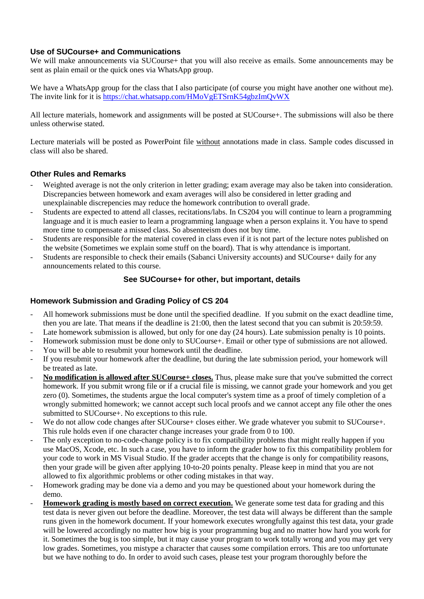# **Use of SUCourse+ and Communications**

We will make announcements via SUCourse+ that you will also receive as emails. Some announcements may be sent as plain email or the quick ones via WhatsApp group.

We have a WhatsApp group for the class that I also participate (of course you might have another one without me). The invite link for it is<https://chat.whatsapp.com/HMoVgETSrnK54gbzImQvWX>

All lecture materials, homework and assignments will be posted at SUCourse+. The submissions will also be there unless otherwise stated.

Lecture materials will be posted as PowerPoint file without annotations made in class. Sample codes discussed in class will also be shared.

# **Other Rules and Remarks**

- Weighted average is not the only criterion in letter grading; exam average may also be taken into consideration. Discrepancies between homework and exam averages will also be considered in letter grading and unexplainable discrepencies may reduce the homework contribution to overall grade.
- Students are expected to attend all classes, recitations/labs. In CS204 you will continue to learn a programming language and it is much easier to learn a programming language when a person explains it. You have to spend more time to compensate a missed class. So absenteeism does not buy time.
- Students are responsible for the material covered in class even if it is not part of the lecture notes published on the website (Sometimes we explain some stuff on the board). That is why attendance is important.
- Students are responsible to check their emails (Sabanci University accounts) and SUCourse+ daily for any announcements related to this course.

### **See SUCourse+ for other, but important, details**

### **Homework Submission and Grading Policy of CS 204**

- All homework submissions must be done until the specified deadline. If you submit on the exact deadline time, then you are late. That means if the deadline is 21:00, then the latest second that you can submit is 20:59:59.
- Late homework submission is allowed, but only for one day (24 hours). Late submission penalty is 10 points.
- Homework submission must be done only to SUCourse+. Email or other type of submissions are not allowed.
- You will be able to resubmit your homework until the deadline.
- If you resubmit your homework after the deadline, but during the late submission period, your homework will be treated as late.
- **No modification is allowed after SUCourse+ closes.** Thus, please make sure that you've submitted the correct homework. If you submit wrong file or if a crucial file is missing, we cannot grade your homework and you get zero (0). Sometimes, the students argue the local computer's system time as a proof of timely completion of a wrongly submitted homework; we cannot accept such local proofs and we cannot accept any file other the ones submitted to SUCourse+. No exceptions to this rule.
- We do not allow code changes after SUCourse+ closes either. We grade whatever you submit to SUCourse+. This rule holds even if one character change increases your grade from 0 to 100.
- The only exception to no-code-change policy is to fix compatibility problems that might really happen if you use MacOS, Xcode, etc. In such a case, you have to inform the grader how to fix this compatibility problem for your code to work in MS Visual Studio. If the grader accepts that the change is only for compatibility reasons, then your grade will be given after applying 10-to-20 points penalty. Please keep in mind that you are not allowed to fix algorithmic problems or other coding mistakes in that way.
- Homework grading may be done via a demo and you may be questioned about your homework during the demo.
- **Homework grading is mostly based on correct execution.** We generate some test data for grading and this test data is never given out before the deadline. Moreover, the test data will always be different than the sample runs given in the homework document. If your homework executes wrongfully against this test data, your grade will be lowered accordingly no matter how big is your programming bug and no matter how hard you work for it. Sometimes the bug is too simple, but it may cause your program to work totally wrong and you may get very low grades. Sometimes, you mistype a character that causes some compilation errors. This are too unfortunate but we have nothing to do. In order to avoid such cases, please test your program thoroughly before the